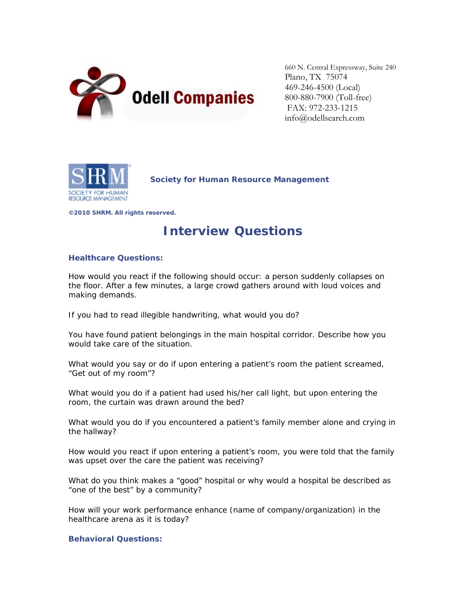

660 N. Central Expressway, Suite 240 Plano, TX 75074 469-246-4500 (Local) 800-880-7900 (Toll-free) FAX: 972-233-1215 info@odellsearch.com



**Society for Human Resource Management** 

**©2010 SHRM. All rights reserved.** 

# **Interview Questions**

## **Healthcare Questions:**

How would you react if the following should occur: a person suddenly collapses on the floor. After a few minutes, a large crowd gathers around with loud voices and making demands.

If you had to read illegible handwriting, what would you do?

You have found patient belongings in the main hospital corridor. Describe how you would take care of the situation.

What would you say or do if upon entering a patient's room the patient screamed, "Get out of my room"?

What would you do if a patient had used his/her call light, but upon entering the room, the curtain was drawn around the bed?

What would you do if you encountered a patient's family member alone and crying in the hallway?

How would you react if upon entering a patient's room, you were told that the family was upset over the care the patient was receiving?

What do you think makes a "good" hospital or why would a hospital be described as "one of the best" by a community?

How will your work performance enhance (name of company/organization) in the healthcare arena as it is today?

### **Behavioral Questions:**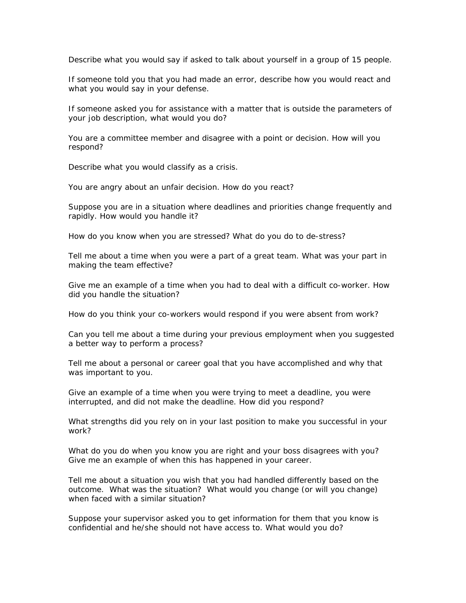Describe what you would say if asked to talk about yourself in a group of 15 people.

If someone told you that you had made an error, describe how you would react and what you would say in your defense.

If someone asked you for assistance with a matter that is outside the parameters of your job description, what would you do?

You are a committee member and disagree with a point or decision. How will you respond?

Describe what you would classify as a crisis.

You are angry about an unfair decision. How do you react?

Suppose you are in a situation where deadlines and priorities change frequently and rapidly. How would you handle it?

How do you know when you are stressed? What do you do to de-stress?

Tell me about a time when you were a part of a great team. What was your part in making the team effective?

Give me an example of a time when you had to deal with a difficult co-worker. How did you handle the situation?

How do you think your co-workers would respond if you were absent from work?

Can you tell me about a time during your previous employment when you suggested a better way to perform a process?

Tell me about a personal or career goal that you have accomplished and why that was important to you.

Give an example of a time when you were trying to meet a deadline, you were interrupted, and did not make the deadline. How did you respond?

What strengths did you rely on in your last position to make you successful in your work?

What do you do when you know you are right and your boss disagrees with you? Give me an example of when this has happened in your career.

Tell me about a situation you wish that you had handled differently based on the outcome. What was the situation? What would you change (or will you change) when faced with a similar situation?

Suppose your supervisor asked you to get information for them that you know is confidential and he/she should not have access to. What would you do?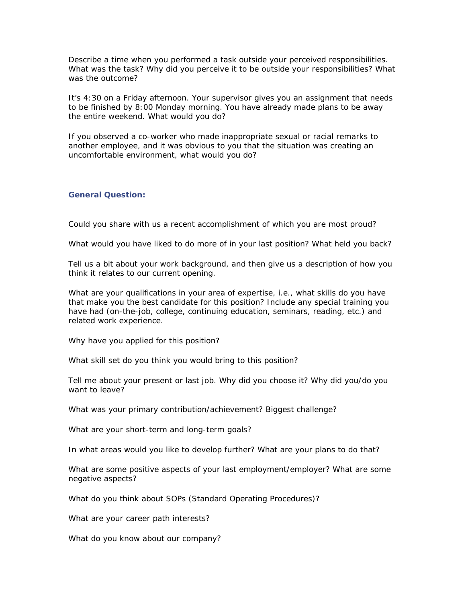Describe a time when you performed a task outside your perceived responsibilities. What was the task? Why did you perceive it to be outside your responsibilities? What was the outcome?

It's 4:30 on a Friday afternoon. Your supervisor gives you an assignment that needs to be finished by 8:00 Monday morning. You have already made plans to be away the entire weekend. What would you do?

If you observed a co-worker who made inappropriate sexual or racial remarks to another employee, and it was obvious to you that the situation was creating an uncomfortable environment, what would you do?

### **General Question:**

Could you share with us a recent accomplishment of which you are most proud?

What would you have liked to do more of in your last position? What held you back?

Tell us a bit about your work background, and then give us a description of how you think it relates to our current opening.

What are your qualifications in your area of expertise, i.e., what skills do you have that make you the best candidate for this position? Include any special training you have had (on-the-job, college, continuing education, seminars, reading, etc.) and related work experience.

Why have you applied for this position?

What skill set do you think you would bring to this position?

Tell me about your present or last job. Why did you choose it? Why did you/do you want to leave?

What was your primary contribution/achievement? Biggest challenge?

What are your short-term and long-term goals?

In what areas would you like to develop further? What are your plans to do that?

What are some positive aspects of your last employment/employer? What are some negative aspects?

What do you think about SOPs (Standard Operating Procedures)?

What are your career path interests?

What do you know about our company?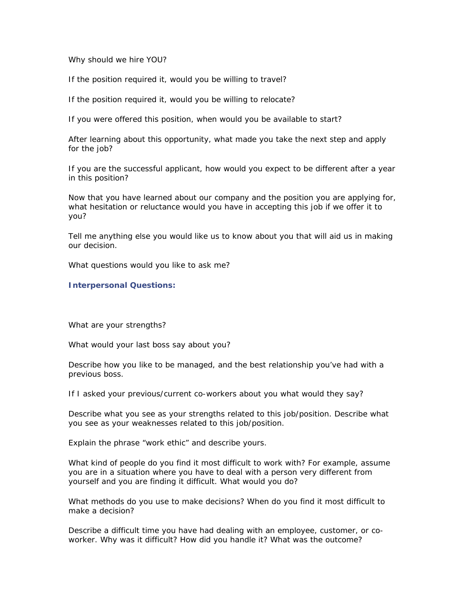Why should we hire YOU?

If the position required it, would you be willing to travel?

If the position required it, would you be willing to relocate?

If you were offered this position, when would you be available to start?

After learning about this opportunity, what made you take the next step and apply for the job?

If you are the successful applicant, how would you expect to be different after a year in this position?

Now that you have learned about our company and the position you are applying for, what hesitation or reluctance would you have in accepting this job if we offer it to you?

Tell me anything else you would like us to know about you that will aid us in making our decision.

What questions would you like to ask me?

#### **Interpersonal Questions:**

What are your strengths?

What would your last boss say about you?

Describe how you like to be managed, and the best relationship you've had with a previous boss.

If I asked your previous/current co-workers about you what would they say?

Describe what you see as your strengths related to this job/position. Describe what you see as your weaknesses related to this job/position.

Explain the phrase "work ethic" and describe yours.

What kind of people do you find it most difficult to work with? For example, assume you are in a situation where you have to deal with a person very different from yourself and you are finding it difficult. What would you do?

What methods do you use to make decisions? When do you find it most difficult to make a decision?

Describe a difficult time you have had dealing with an employee, customer, or coworker. Why was it difficult? How did you handle it? What was the outcome?